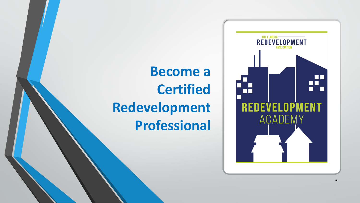# **Become a Certified Redevelopment Professional**

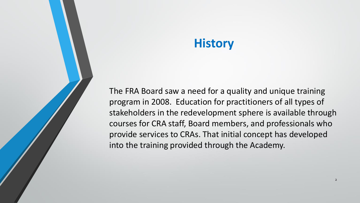#### **History**

The FRA Board saw a need for a quality and unique training program in 2008. Education for practitioners of all types of stakeholders in the redevelopment sphere is available through courses for CRA staff, Board members, and professionals who provide services to CRAs. That initial concept has developed into the training provided through the Academy.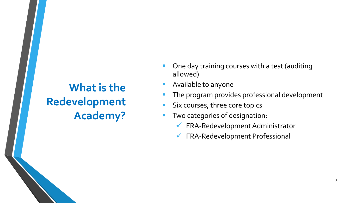#### **What is the Redevelopment Academy?**

- One day training courses with a test (auditing allowed)
- Available to anyone
- The program provides professional development
- **E** Six courses, three core topics
- Two categories of designation:
	- ✓ FRA-Redevelopment Administrator
	- ✓ FRA-Redevelopment Professional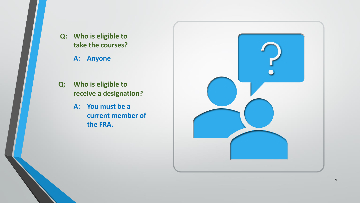**Q: Who is eligible to take the courses?**

**A: Anyone**

- **Q: Who is eligible to receive a designation?**
	- **A: You must be a current member of the FRA.**

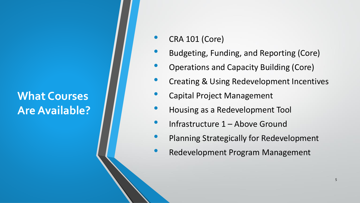#### **What Courses Are Available?**

- CRA 101 (Core)
- Budgeting, Funding, and Reporting (Core)
- Operations and Capacity Building (Core)
- **Creating & Using Redevelopment Incentives**
- Capital Project Management
- Housing as a Redevelopment Tool
- Infrastructure 1 Above Ground
- Planning Strategically for Redevelopment
- Redevelopment Program Management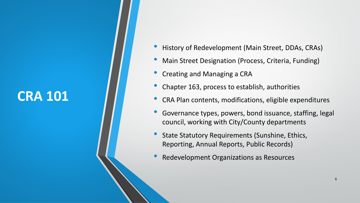#### **CRA 101**

- History of Redevelopment (Main Street, DDAs, CRAs)
- Main Street Designation (Process, Criteria, Funding)
- Creating and Managing a CRA
- Chapter 163, process to establish, authorities
- CRA Plan contents, modifications, eligible expenditures
- Governance types, powers, bond issuance, staffing, legal council, working with City/County departments
- State Statutory Requirements (Sunshine, Ethics, Reporting, Annual Reports, Public Records)
- Redevelopment Organizations as Resources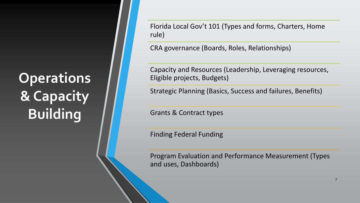# **Operations & Capacity Building**

Florida Local Gov't 101 (Types and forms, Charters, Home rule)

CRA governance (Boards, Roles, Relationships)

Capacity and Resources (Leadership, Leveraging resources, Eligible projects, Budgets)

Strategic Planning (Basics, Success and failures, Benefits)

Grants & Contract types

Finding Federal Funding

Program Evaluation and Performance Measurement (Types and uses, Dashboards)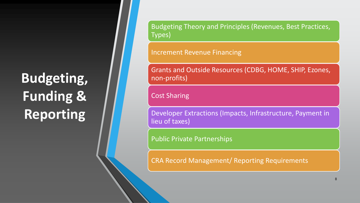# **Budgeting, Funding & Reporting**

Budgeting Theory and Principles (Revenues, Best Practices, Types)

Increment Revenue Financing

Grants and Outside Resources (CDBG, HOME, SHIP, Ezones, non-profits)

Cost Sharing

Developer Extractions (Impacts, Infrastructure, Payment in lieu of taxes)

Public Private Partnerships

CRA Record Management/ Reporting Requirements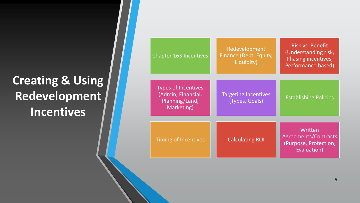### **Creating & Using Redevelopment Incentives**

| <b>Chapter 163 Incentives</b>                                                    | Redevelopment<br>Finance (Debt, Equity,<br>Liquidity) | Risk vs. Benefit<br>(Understanding risk,<br>Phasing incentives,<br>Performance based) |
|----------------------------------------------------------------------------------|-------------------------------------------------------|---------------------------------------------------------------------------------------|
| <b>Types of Incentives</b><br>(Admin, Financial,<br>Planning/Land,<br>Marketing) | <b>Targeting Incentives</b><br>(Types, Goals)         | <b>Establishing Policies</b>                                                          |
| <b>Timing of Incentives</b>                                                      | <b>Calculating ROI</b>                                | Written<br>Agreements/Contracts<br>(Purpose, Protection,<br>Evaluation)               |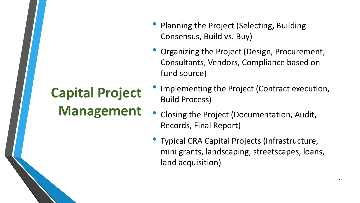### **Capital Project Management**

- Planning the Project (Selecting, Building Consensus, Build vs. Buy)
- Organizing the Project (Design, Procurement, Consultants, Vendors, Compliance based on fund source)
- Implementing the Project (Contract execution, Build Process)
- Closing the Project (Documentation, Audit, Records, Final Report)
- Typical CRA Capital Projects (Infrastructure, mini grants, landscaping, streetscapes, loans, land acquisition)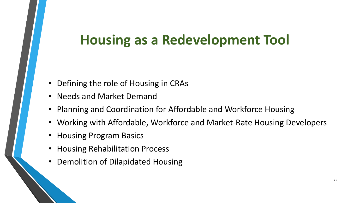### **Housing as a Redevelopment Tool**

- Defining the role of Housing in CRAs
- Needs and Market Demand
- Planning and Coordination for Affordable and Workforce Housing
- Working with Affordable, Workforce and Market-Rate Housing Developers
- Housing Program Basics
- Housing Rehabilitation Process
- Demolition of Dilapidated Housing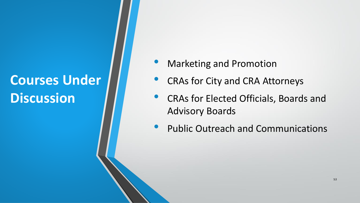### **Courses Under Discussion**

- **Marketing and Promotion**
- CRAs for City and CRA Attorneys
- CRAs for Elected Officials, Boards and Advisory Boards
- Public Outreach and Communications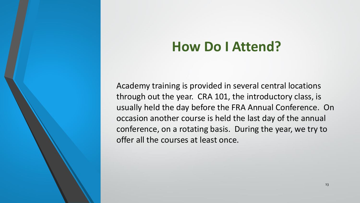### **How Do I Attend?**

Academy training is provided in several central locations through out the year. CRA 101, the introductory class, is usually held the day before the FRA Annual Conference. On occasion another course is held the last day of the annual conference, on a rotating basis. During the year, we try to offer all the courses at least once.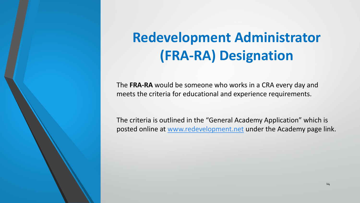## **Redevelopment Administrator (FRA-RA) Designation**

The **FRA-RA** would be someone who works in a CRA every day and meets the criteria for educational and experience requirements.

The criteria is outlined in the "General Academy Application" which is posted online at [www.redevelopment.net](http://www.redevelopment.net/) under the Academy page link.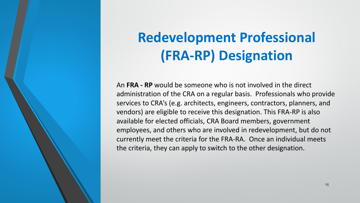# **Redevelopment Professional (FRA-RP) Designation**

An **FRA - RP** would be someone who is not involved in the direct administration of the CRA on a regular basis. Professionals who provide services to CRA's (e.g. architects, engineers, contractors, planners, and vendors) are eligible to receive this designation. This FRA-RP is also available for elected officials, CRA Board members, government employees, and others who are involved in redevelopment, but do not currently meet the criteria for the FRA-RA. Once an individual meets the criteria, they can apply to switch to the other designation.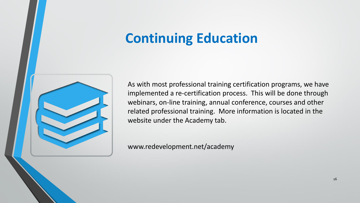### **Continuing Education**



As with most professional training certification programs, we have implemented a re-certification process. This will be done through webinars, on-line training, annual conference, courses and other related professional training. More information is located in the website under the Academy tab.

www.redevelopment.net/academy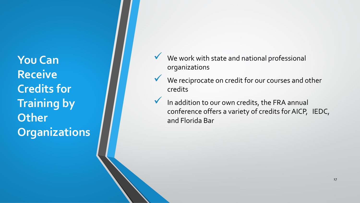**You Can Receive Credits for Training by Other Organizations**

- We work with state and national professional organizations
- ◆ We reciprocate on credit for our courses and other credits
- $\checkmark$  In addition to our own credits, the FRA annual conference offers a variety of credits for AICP, IEDC, and Florida Bar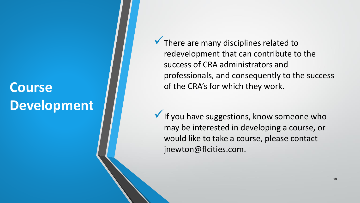### **Course Development**

 $\checkmark$  There are many disciplines related to redevelopment that can contribute to the success of CRA administrators and professionals, and consequently to the success of the CRA's for which they work.

 $\checkmark$  If you have suggestions, know someone who may be interested in developing a course, or would like to take a course, please contact jnewton@flcities.com.